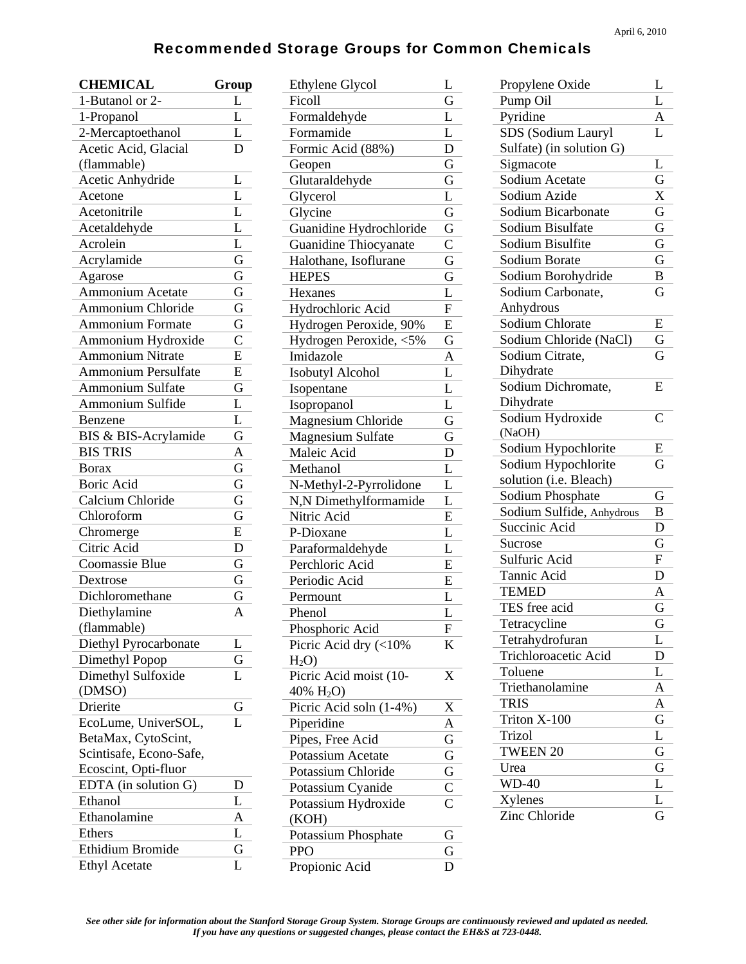## Recommended Storage Groups for Common Chemicals

| <b>CHEMICAL</b>            | Group                   |
|----------------------------|-------------------------|
| 1-Butanol or 2-            | L                       |
| 1-Propanol                 | L                       |
| 2-Mercaptoethanol          | L                       |
| Acetic Acid, Glacial       | D                       |
| (flammable)                |                         |
| Acetic Anhydride           | L                       |
| Acetone                    | L                       |
| Acetonitrile               | $\overline{L}$          |
| Acetaldehyde               | $\overline{L}$          |
| Acrolein                   | L                       |
| Acrylamide                 | G                       |
| Agarose                    | $\overline{\mathrm{G}}$ |
| Ammonium Acetate           | $\overline{G}$          |
| <b>Ammonium Chloride</b>   | $\overline{\mathrm{G}}$ |
| <b>Ammonium Formate</b>    | G                       |
| Ammonium Hydroxide         | $\overline{C}$          |
| <b>Ammonium Nitrate</b>    | $\overline{E}$          |
| <b>Ammonium Persulfate</b> | E                       |
| <b>Ammonium Sulfate</b>    | $\overline{\mathrm{G}}$ |
| Ammonium Sulfide           | L                       |
| Benzene                    | L                       |
| BIS & BIS-Acrylamide       | G                       |
| <b>BIS TRIS</b>            | $\overline{A}$          |
| <b>Borax</b>               | $\overline{\mathrm{G}}$ |
| Boric Acid                 | $\overline{\mathrm{G}}$ |
| Calcium Chloride           | G                       |
| Chloroform                 | $\overline{\mathrm{G}}$ |
| Chromerge                  | E                       |
| Citric Acid                | D                       |
| Coomassie Blue             | G                       |
| Dextrose                   | G                       |
| Dichloromethane            | G                       |
| Diethylamine               | A                       |
| (flammable)                |                         |
| Diethyl Pyrocarbonate      | L                       |
| Dimethyl Popop             | G                       |
| Dimethyl Sulfoxide         | L                       |
| (DMSO)                     |                         |
| Drierite                   | G                       |
| EcoLume, UniverSOL,        | L                       |
| BetaMax, CytoScint,        |                         |
| Scintisafe, Econo-Safe,    |                         |
| Ecoscint, Opti-fluor       |                         |
| EDTA (in solution G)       | D                       |
| Ethanol                    | L                       |
| Ethanolamine               | A                       |
| Ethers                     | L                       |
| Ethidium Bromide           | G                       |
| <b>Ethyl Acetate</b>       | L                       |

| <b>Ethylene Glycol</b>       | L              |
|------------------------------|----------------|
| Ficoll                       | G              |
| Formaldehyde                 | L              |
| Formamide                    | L              |
| Formic Acid (88%)            | D              |
| Geopen                       | G              |
| Glutaraldehyde               | G              |
| Glycerol                     | L              |
| Glycine                      | G              |
| Guanidine Hydrochloride      | G              |
| <b>Guanidine Thiocyanate</b> | $\mathsf C$    |
| Halothane, Isoflurane        | G              |
| <b>HEPES</b>                 | G              |
| Hexanes                      | L              |
| Hydrochloric Acid            | F              |
| Hydrogen Peroxide, 90%       | E              |
| Hydrogen Peroxide, <5%       | G              |
| Imidazole                    | A              |
| <b>Isobutyl Alcohol</b>      | L              |
| Isopentane                   | L              |
| Isopropanol                  | L              |
| Magnesium Chloride           | G              |
| <b>Magnesium Sulfate</b>     | G              |
| Maleic Acid                  |                |
|                              | D<br>L         |
| Methanol                     |                |
| N-Methyl-2-Pyrrolidone       | L              |
| N,N Dimethylformamide        | L              |
| Nitric Acid                  | E              |
| P-Dioxane                    | L              |
| Paraformaldehyde             | L              |
| Perchloric Acid              | E              |
| Periodic Acid                | E              |
| Permount                     | L              |
| Phenol                       | L              |
| Phosphoric Acid              | F              |
| Picric Acid dry (<10%        | K              |
| $H_2O$                       |                |
| Picric Acid moist (10-       | X              |
| 40% $H_2O$ )                 |                |
| Picric Acid soln (1-4%)      | X              |
| Piperidine                   | A              |
| Pipes, Free Acid             | G              |
| Potassium Acetate            | G              |
| Potassium Chloride           | G              |
| Potassium Cyanide            | $\mathsf{C}$   |
| Potassium Hydroxide          | $\overline{C}$ |
| (KOH)                        |                |
| Potassium Phosphate          | G              |
| <b>PPO</b>                   | G              |
| Propionic Acid               | D              |

| Propylene Oxide                  | L                       |
|----------------------------------|-------------------------|
| Pump Oil                         | L                       |
| Pyridine                         | A                       |
| SDS (Sodium Lauryl               | L                       |
| Sulfate) (in solution G)         |                         |
| Sigmacote                        | L                       |
| Sodium Acetate                   | G                       |
| Sodium Azide                     | $\overline{X}$          |
| Sodium Bicarbonate               | G                       |
| Sodium Bisulfate                 | $\overline{\mathrm{G}}$ |
| Sodium Bisulfite                 | G                       |
| Sodium Borate                    | $\bar{\mathsf{G}}$      |
| Sodium Borohydride               | B                       |
| Sodium Carbonate,                | G                       |
| Anhydrous                        |                         |
| Sodium Chlorate                  | E                       |
| Sodium Chloride (NaCl)           | G                       |
| Sodium Citrate,                  | G                       |
| Dihydrate                        |                         |
| Sodium Dichromate,               | E                       |
| Dihydrate                        |                         |
| Sodium Hydroxide                 | $\overline{C}$          |
| (NaOH)                           |                         |
| Sodium Hypochlorite              | E                       |
| Sodium Hypochlorite              | G                       |
| solution (i.e. Bleach)           |                         |
| Sodium Phosphate                 | G                       |
| Sodium Sulfide, Anhydrous        | B                       |
| Succinic Acid                    | D                       |
| Sucrose                          | G                       |
| Sulfuric Acid                    | ${\bf F}$               |
| Tannic Acid                      | D                       |
| <b>TEMED</b>                     | A                       |
| TES free acid                    | G                       |
| Tetracycline                     | G                       |
| Tetrahydrofuran                  | L                       |
| Trichloroacetic Acid             | D                       |
| Toluene                          | L                       |
| Triethanolamine                  | A                       |
| <b>TRIS</b>                      | $\overline{A}$          |
| $\overline{\text{Triton}}$ X-100 | Ġ                       |
| Trizol                           | L                       |
| <b>TWEEN 20</b>                  | G                       |
| Urea                             | G                       |
| <b>WD-40</b>                     | L                       |
| Xylenes                          | L                       |
| Zinc Chloride                    | G                       |
|                                  |                         |